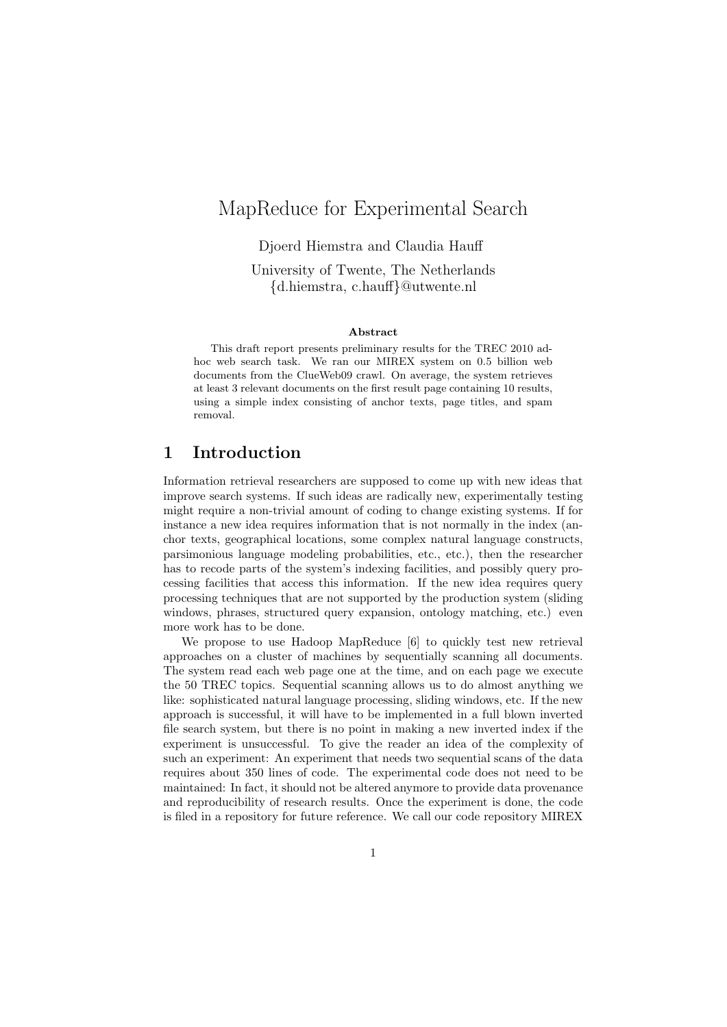# MapReduce for Experimental Search

Djoerd Hiemstra and Claudia Hauff

University of Twente, The Netherlands {d.hiemstra, c.hauff}@utwente.nl

#### Abstract

This draft report presents preliminary results for the TREC 2010 adhoc web search task. We ran our MIREX system on 0.5 billion web documents from the ClueWeb09 crawl. On average, the system retrieves at least 3 relevant documents on the first result page containing 10 results, using a simple index consisting of anchor texts, page titles, and spam removal.

### 1 Introduction

Information retrieval researchers are supposed to come up with new ideas that improve search systems. If such ideas are radically new, experimentally testing might require a non-trivial amount of coding to change existing systems. If for instance a new idea requires information that is not normally in the index (anchor texts, geographical locations, some complex natural language constructs, parsimonious language modeling probabilities, etc., etc.), then the researcher has to recode parts of the system's indexing facilities, and possibly query processing facilities that access this information. If the new idea requires query processing techniques that are not supported by the production system (sliding windows, phrases, structured query expansion, ontology matching, etc.) even more work has to be done.

We propose to use Hadoop MapReduce [6] to quickly test new retrieval approaches on a cluster of machines by sequentially scanning all documents. The system read each web page one at the time, and on each page we execute the 50 TREC topics. Sequential scanning allows us to do almost anything we like: sophisticated natural language processing, sliding windows, etc. If the new approach is successful, it will have to be implemented in a full blown inverted file search system, but there is no point in making a new inverted index if the experiment is unsuccessful. To give the reader an idea of the complexity of such an experiment: An experiment that needs two sequential scans of the data requires about 350 lines of code. The experimental code does not need to be maintained: In fact, it should not be altered anymore to provide data provenance and reproducibility of research results. Once the experiment is done, the code is filed in a repository for future reference. We call our code repository MIREX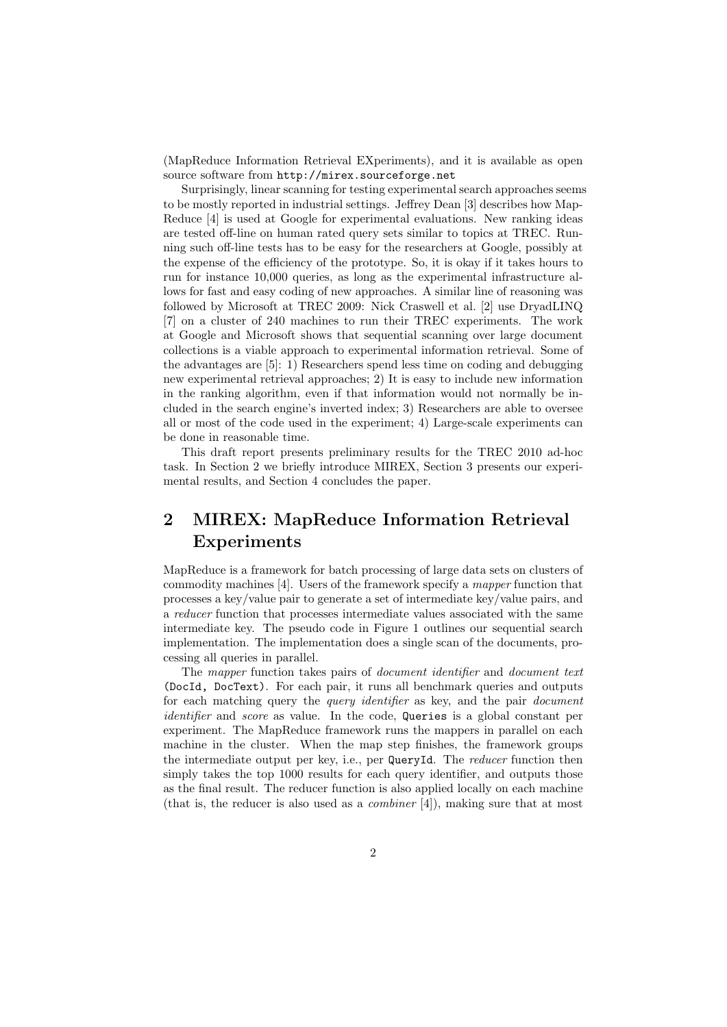(MapReduce Information Retrieval EXperiments), and it is available as open source software from http://mirex.sourceforge.net

Surprisingly, linear scanning for testing experimental search approaches seems to be mostly reported in industrial settings. Jeffrey Dean [3] describes how Map-Reduce [4] is used at Google for experimental evaluations. New ranking ideas are tested off-line on human rated query sets similar to topics at TREC. Running such off-line tests has to be easy for the researchers at Google, possibly at the expense of the efficiency of the prototype. So, it is okay if it takes hours to run for instance 10,000 queries, as long as the experimental infrastructure allows for fast and easy coding of new approaches. A similar line of reasoning was followed by Microsoft at TREC 2009: Nick Craswell et al. [2] use DryadLINQ [7] on a cluster of 240 machines to run their TREC experiments. The work at Google and Microsoft shows that sequential scanning over large document collections is a viable approach to experimental information retrieval. Some of the advantages are [5]: 1) Researchers spend less time on coding and debugging new experimental retrieval approaches; 2) It is easy to include new information in the ranking algorithm, even if that information would not normally be included in the search engine's inverted index; 3) Researchers are able to oversee all or most of the code used in the experiment; 4) Large-scale experiments can be done in reasonable time.

This draft report presents preliminary results for the TREC 2010 ad-hoc task. In Section 2 we briefly introduce MIREX, Section 3 presents our experimental results, and Section 4 concludes the paper.

## 2 MIREX: MapReduce Information Retrieval Experiments

MapReduce is a framework for batch processing of large data sets on clusters of commodity machines [4]. Users of the framework specify a mapper function that processes a key/value pair to generate a set of intermediate key/value pairs, and a reducer function that processes intermediate values associated with the same intermediate key. The pseudo code in Figure 1 outlines our sequential search implementation. The implementation does a single scan of the documents, processing all queries in parallel.

The mapper function takes pairs of document identifier and document text (DocId, DocText). For each pair, it runs all benchmark queries and outputs for each matching query the *query identifier* as key, and the pair *document* identifier and score as value. In the code, Queries is a global constant per experiment. The MapReduce framework runs the mappers in parallel on each machine in the cluster. When the map step finishes, the framework groups the intermediate output per key, i.e., per QueryId. The *reducer* function then simply takes the top 1000 results for each query identifier, and outputs those as the final result. The reducer function is also applied locally on each machine (that is, the reducer is also used as a *combiner* [4]), making sure that at most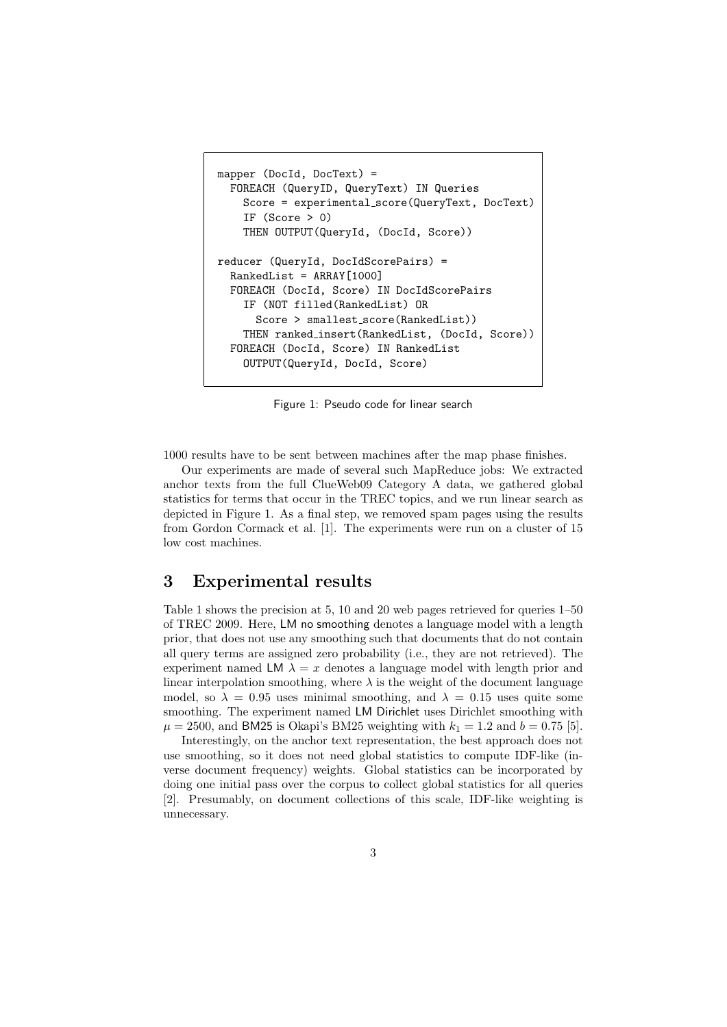```
mapper (DocId, DocText) =
  FOREACH (QueryID, QueryText) IN Queries
    Score = experimental score(QueryText, DocText)
    IF (Score > 0)
    THEN OUTPUT(QueryId, (DocId, Score))
reducer (QueryId, DocIdScorePairs) =
  RankedList = ARRAY[1000]
  FOREACH (DocId, Score) IN DocIdScorePairs
    IF (NOT filled(RankedList) OR
      Score > smallest_score(RankedList))
    THEN ranked insert(RankedList, (DocId, Score))
  FOREACH (DocId, Score) IN RankedList
    OUTPUT(QueryId, DocId, Score)
```
Figure 1: Pseudo code for linear search

1000 results have to be sent between machines after the map phase finishes.

Our experiments are made of several such MapReduce jobs: We extracted anchor texts from the full ClueWeb09 Category A data, we gathered global statistics for terms that occur in the TREC topics, and we run linear search as depicted in Figure 1. As a final step, we removed spam pages using the results from Gordon Cormack et al. [1]. The experiments were run on a cluster of 15 low cost machines.

#### 3 Experimental results

Table 1 shows the precision at 5, 10 and 20 web pages retrieved for queries 1–50 of TREC 2009. Here, LM no smoothing denotes a language model with a length prior, that does not use any smoothing such that documents that do not contain all query terms are assigned zero probability (i.e., they are not retrieved). The experiment named LM  $\lambda = x$  denotes a language model with length prior and linear interpolation smoothing, where  $\lambda$  is the weight of the document language model, so  $\lambda = 0.95$  uses minimal smoothing, and  $\lambda = 0.15$  uses quite some smoothing. The experiment named LM Dirichlet uses Dirichlet smoothing with  $\mu = 2500$ , and BM25 is Okapi's BM25 weighting with  $k_1 = 1.2$  and  $b = 0.75$  [5].

Interestingly, on the anchor text representation, the best approach does not use smoothing, so it does not need global statistics to compute IDF-like (inverse document frequency) weights. Global statistics can be incorporated by doing one initial pass over the corpus to collect global statistics for all queries [2]. Presumably, on document collections of this scale, IDF-like weighting is unnecessary.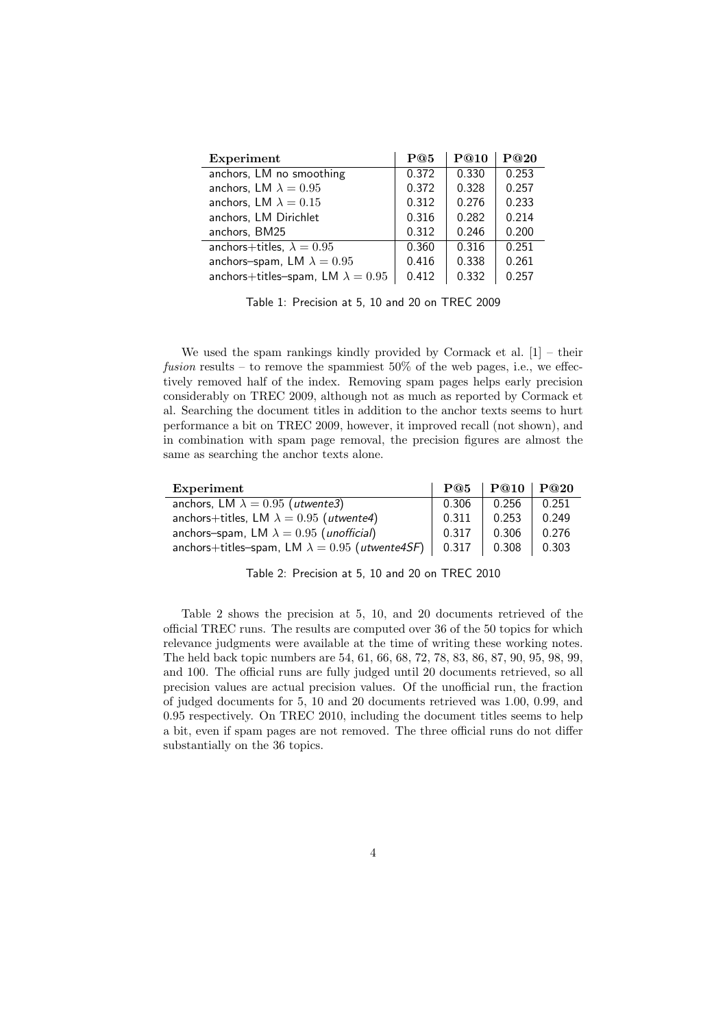| Experiment                               | P@5   | P@10  | P@20  |
|------------------------------------------|-------|-------|-------|
| anchors, LM no smoothing                 | 0.372 | 0.330 | 0.253 |
| anchors, LM $\lambda = 0.95$             | 0.372 | 0.328 | 0.257 |
| anchors, LM $\lambda = 0.15$             | 0.312 | 0.276 | 0.233 |
| anchors, LM Dirichlet                    | 0.316 | 0.282 | 0.214 |
| anchors, BM25                            | 0.312 | 0.246 | 0.200 |
| anchors+titles, $\lambda = 0.95$         | 0.360 | 0.316 | 0.251 |
| anchors-spam, LM $\lambda = 0.95$        | 0.416 | 0.338 | 0.261 |
| anchors+titles-spam, LM $\lambda = 0.95$ | 0.412 | 0.332 | 0.257 |

Table 1: Precision at 5, 10 and 20 on TREC 2009

We used the spam rankings kindly provided by Cormack et al.  $[1]$  – their fusion results – to remove the spammiest  $50\%$  of the web pages, i.e., we effectively removed half of the index. Removing spam pages helps early precision considerably on TREC 2009, although not as much as reported by Cormack et al. Searching the document titles in addition to the anchor texts seems to hurt performance a bit on TREC 2009, however, it improved recall (not shown), and in combination with spam page removal, the precision figures are almost the same as searching the anchor texts alone.

| Experiment                                            | P@5   | P@10  | P@20  |
|-------------------------------------------------------|-------|-------|-------|
| anchors, LM $\lambda = 0.95$ (utwente3)               | 0.306 | 0.256 | 0.251 |
| anchors+titles, LM $\lambda = 0.95$ (utwente4)        | 0.311 | 0.253 | 0.249 |
| anchors-spam, LM $\lambda = 0.95$ (unofficial)        | 0.317 | 0.306 | 0.276 |
| anchors+titles-spam, LM $\lambda = 0.95$ (utwente4SF) | 0.317 | 0.308 | 0.303 |

Table 2: Precision at 5, 10 and 20 on TREC 2010

Table 2 shows the precision at 5, 10, and 20 documents retrieved of the official TREC runs. The results are computed over 36 of the 50 topics for which relevance judgments were available at the time of writing these working notes. The held back topic numbers are 54, 61, 66, 68, 72, 78, 83, 86, 87, 90, 95, 98, 99, and 100. The official runs are fully judged until 20 documents retrieved, so all precision values are actual precision values. Of the unofficial run, the fraction of judged documents for 5, 10 and 20 documents retrieved was 1.00, 0.99, and 0.95 respectively. On TREC 2010, including the document titles seems to help a bit, even if spam pages are not removed. The three official runs do not differ substantially on the 36 topics.